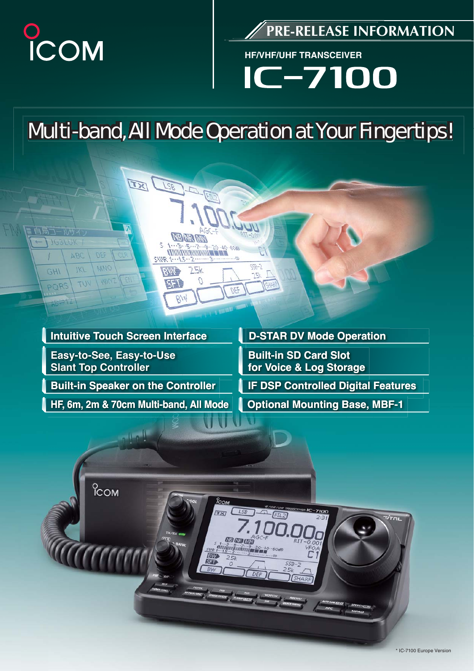

**103/11K** 

GHI

PORS

ABC

 $1K1$ 

WT

**PRE-RELEASE INFORMATION**

**HF/VHF/UHF TRANSCEIVER**

 $-7100$ 

## **Multi-band, All Mode Operation at Your Fingertips!**

# **Easy-to-See, Easy-to-Use**

EX

 $92$ 

**SIDE** 

**FAIRE** 

医直径

BM

**NB AR TAN** 

72K

3 - 20 - 40 - 608<br>||

**DEL** 

 $-927$ 

 $25$ 

**Slant Top Controller**

MNO

**Built-in Speaker on the Controller**

**HF, 6m, 2m & 70cm Multi-band, All Mode**

**Intuitive Touch Screen Interface De-STAR DV Mode Operation** 

**Built-in SD Card Slot for Voice & Log Storage**

**IF DSP Controlled Digital Features** 

**Optional Mounting Base, MBF-1**